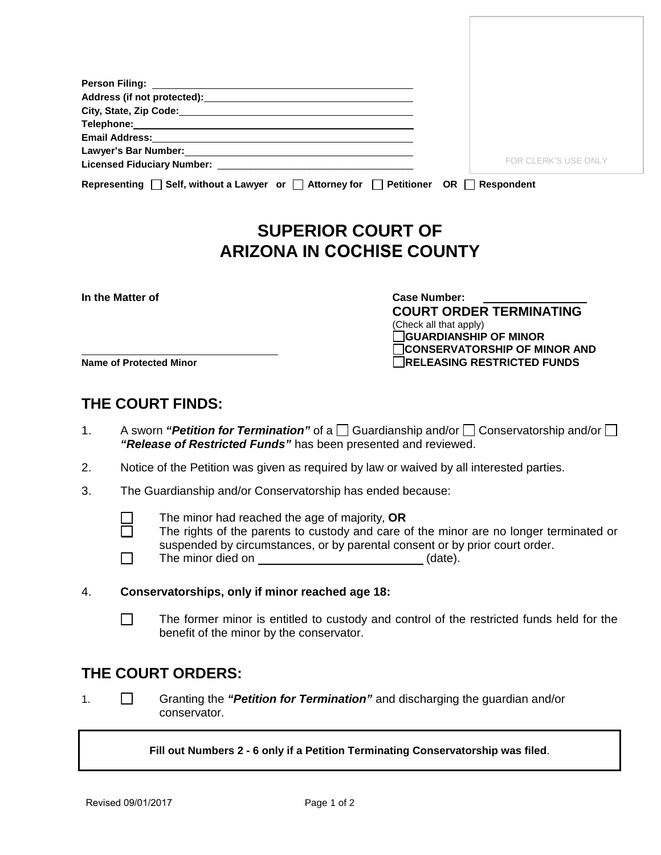| Email Address: No. 2014 12:30 12:30 12:30 12:30 12:30 12:30 12:30 12:30 12:30 12:30 12:30 12:30 12:30 12:30 1 |                             |
|---------------------------------------------------------------------------------------------------------------|-----------------------------|
|                                                                                                               |                             |
|                                                                                                               | <b>FOR CLERK'S USE ONLY</b> |
| Representing $\Box$ Self, without a Lawyer or $\Box$ Attorney for $\Box$ Petitioner OR $\Box$                 | <b>Respondent</b>           |

## **SUPERIOR COURT OF ARIZONA IN COCHISE COUNTY**

**In the Matter of Case Number:** 

**COURT ORDER TERMINATING** (Check all that apply) **GUARDIANSHIP OF MINOR CONSERVATORSHIP OF MINOR AND Name of Protected Minor RELEASING RESTRICTED FUNDS**

## **THE COURT FINDS:**

- 1. A sworn *"Petition for Termination"* of a  $\Box$  Guardianship and/or  $\Box$  Conservatorship and/or  $\Box$ *"Release of Restricted Funds"* has been presented and reviewed.
- 2. Notice of the Petition was given as required by law or waived by all interested parties.
- 3. The Guardianship and/or Conservatorship has ended because:
	- The minor had reached the age of majority, **OR** 
		- The rights of the parents to custody and care of the minor are no longer terminated or suspended by circumstances, or by parental consent or by prior court order.
	- $\Box$ The minor died on (date).
- 4. **Conservatorships, only if minor reached age 18:**
	- The former minor is entitled to custody and control of the restricted funds held for the benefit of the minor by the conservator.

## **THE COURT ORDERS:**

1. Granting the *"Petition for Termination"* and discharging the guardian and/or conservator.

**Fill out Numbers 2 - 6 only if a Petition Terminating Conservatorship was filed**.

 $\Box$